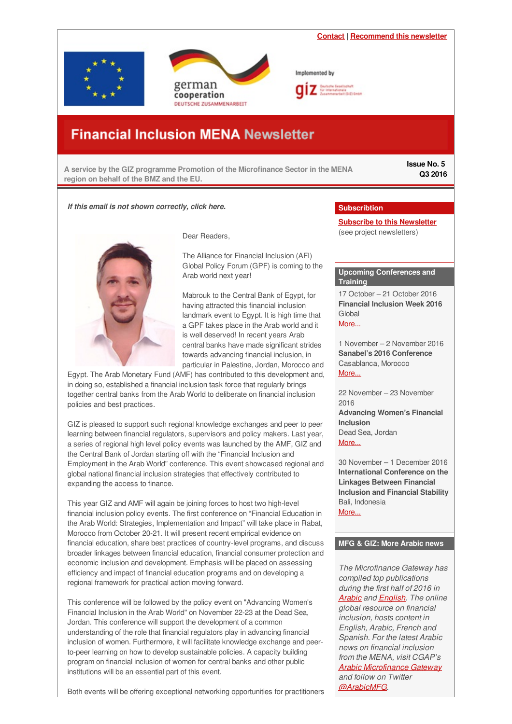<span id="page-0-0"></span>**[Contact](
mailto:financialinclusion-mena@giz.de?subject=Newsletter feedback)** | **[Recommend](https://login.mailingwork.de/email/testPreview/simulateMailingFunction/2983) this newsletter** Implemented by erman cooperation DEUTSCHE ZUSAMMENARBEIT

# **Financial Inclusion MENA Newsletter**

**A service by the GIZ programme Promotion of the Microfinance Sector in the MENA region on behalf of the BMZ and the EU.**

**Issue No. 5 Q3 2016**

## *If this email is not shown correctly, click here.*



Dear Readers,

The Alliance for Financial Inclusion (AFI) Global Policy Forum (GPF) is coming to the Arab world next year!

Mabrouk to the Central Bank of Egypt, for having attracted this financial inclusion landmark event to Egypt. It is high time that a GPF takes place in the Arab world and it is well deserved! In recent years Arab central banks have made significant strides towards advancing financial inclusion, in particular in Palestine, Jordan, Morocco and

Egypt. The Arab Monetary Fund (AMF) has contributed to this development and, in doing so, established a financial inclusion task force that regularly brings together central banks from the Arab World to deliberate on financial inclusion policies and best practices.

GIZ is pleased to support such regional knowledge exchanges and peer to peer learning between financial regulators, supervisors and policy makers. Last year, a series of regional high level policy events was launched by the AMF, GIZ and the Central Bank of Jordan starting off with the "Financial Inclusion and Employment in the Arab World" conference. This event showcased regional and global national financial inclusion strategies that effectively contributed to expanding the access to finance.

This year GIZ and AMF will again be joining forces to host two high-level financial inclusion policy events. The first conference on "Financial Education in the Arab World: Strategies, Implementation and Impact" will take place in Rabat, Morocco from October 20-21. It will present recent empirical evidence on financial education, share best practices of country-level programs, and discuss broader linkages between financial education, financial consumer protection and economic inclusion and development. Emphasis will be placed on assessing efficiency and impact of financial education programs and on developing a regional framework for practical action moving forward.

This conference will be followed by the policy event on "Advancing Women's Financial Inclusion in the Arab World" on November 22-23 at the Dead Sea, Jordan. This conference will support the development of a common understanding of the role that financial regulators play in advancing financial inclusion of women. Furthermore, it will facilitate knowledge exchange and peerto-peer learning on how to develop sustainable policies. A capacity building program on financial inclusion of women for central banks and other public institutions will be an essential part of this event.

Both events will be offering exceptional networking opportunities for practitioners

## **Subscribtion**

**Subscribe to this [Newsletter](http://www.giz.de/en/mediacenter/117.html)** (see project newsletters)

## **Upcoming Conferences and Training**

17 October – 21 October 2016 **Financial Inclusion Week 2016** Global [More...](http://www.fi2020week.org/financial-inclusion-week-2016/)

1 November – 2 November 2016 **Sanabel's 2016 Conference** Casablanca, Morocco [More...](http://www.sanabelconf.org/)

22 November – 23 November 2016 **Advancing Women's Financial Inclusion** Dead Sea, Jordan [More...](http://financialinclusion-conference.org/)

30 November – 1 December 2016 **International Conference on the Linkages Between Financial Inclusion and Financial Stability** Bali, Indonesia [More...](http://www.afi-global.org/events/international-conference-linkages-between-financial-inclusion-and-financial-stability)

## **MFG & GIZ: More Arabic news**

*The Microfinance Gateway has compiled top publications during the first half of 2016 in [Arabic](https://goo.gl/IwCl9D) and [English](https://www.microfinancegateway.org/library/top-ten-publications-first-half-2016). The online global resource on financial inclusion, hosts content in English, Arabic, French and Spanish. For the latest Arabic news on financial inclusion from the MENA, visit CGAP's Arabic [Microfinance](https://www.microfinancegateway.org/ar) Gateway and follow on Twitter [@ArabicMFG](https://twitter.com/ArabicMFG).*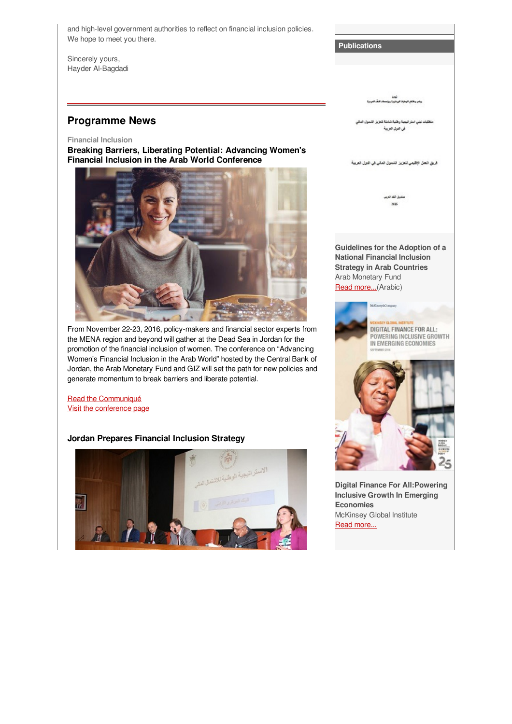and high-level government authorities to reflect on financial inclusion policies. We hope to meet you there.

Sincerely yours, Hayder Al-Bagdadi

## **Programme News**

#### **Financial Inclusion**

**Breaking Barriers, Liberating Potential: Advancing Women's Financial Inclusion in the Arab World Conference**



From November 22-23, 2016, policy-makers and financial sector experts from the MENA region and beyond will gather at the Dead Sea in Jordan for the promotion of the financial inclusion of women. The conference on "Advancing Women's Financial Inclusion in the Arab World" hosted by the Central Bank of Jordan, the Arab Monetary Fund and GIZ will set the path for new policies and generate momentum to break barriers and liberate potential.

Read the [Communiqué](http://financialinclusion-conference.org/wp-content/uploads/2016/10/20161010-Communique-Women-FI-Conference-EN-Final.pdf) Visit the [conference](http://financialinclusion-conference.org/) page

## **Jordan Prepares Financial Inclusion Strategy**



**Publications**

.<br>Liste of the political political لمعتمد

متطلبات تبنى استر البعية وبقنية شفطة لتجريز الشمول المالى في هول العربية

فريق العل الإقليمي لتعزيز الشمول المالي في الدول العربية

.<br>ڪيل هڪ شي **SILS** 

**Guidelines for the Adoption of a National Financial Inclusion Strategy in Arab Countries** Arab Monetary Fund Read [more...](http://www.amf.org.ae/sites/all/libraries/pdf.js/web/viewer.html?file=http%3A//www.amf.org.ae/sites/default/files/econ/amdb/%5Bvocab%5D/%5Bterm%5D/%D9%83%D8%AA%D8%A7%D8%A8 %D9%85%D8%AA%D8%B7%D9%84%D8%A8%D8%A7%D8%AA %D8%A7%D9%84%D8%A7%D8%B3%D8%AA%D8%B1%D8%A7%D8%AA%D9%8A%D8%AC%D9%8A%D8%A9.pdf)(Arabic)



**Digital Finance For All:Powering Inclusive Growth In Emerging Economies** McKinsey Global Institute Read [more...](http://www.mckinsey.com/~/media/McKinsey/Global Themes/Employment and Growth/How digital finance could boost growth in emerging economies/MG-Digital-Finance-For-All-Full-report-September-2016.ashx)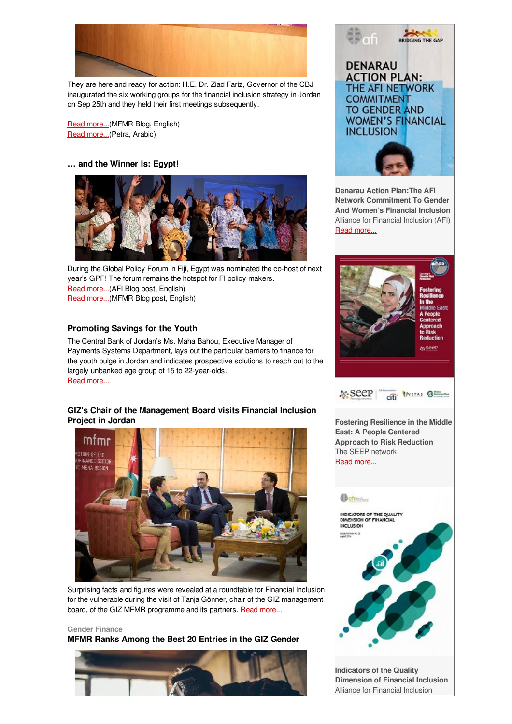

They are here and ready for action: H.E. Dr. Ziad Fariz, Governor of the CBJ inaugurated the six working groups for the financial inclusion strategy in Jordan on Sep 25th and they held their first meetings subsequently.

Read [more...](http://www.microfinance-mena.org/?page=Pages_Activities&id=2)(MFMR Blog, English) Read [more...](http://www.petra.gov.jo/Public_News/Nws_NewsDetails.aspx?lang=1&site_id=2&NewsID=270188)(Petra, Arabic)

## **… and the Winner Is: Egypt!**



During the Global Policy Forum in Fiji, Egypt was nominated the co-host of next year's GPF! The forum remains the hotspot for FI policy makers. Read [more...](http://www.afi-global.org/blog/2016/09/global-policy-forum-opening-doors-policymakers)(AFI Blog post, English) Read [more...](http://www.microfinance-mena.org/?page=Pages_Activities&id=1)(MFMR Blog post, English)

## **Promoting Savings for the Youth**

The Central Bank of Jordan's Ms. Maha Bahou, Executive Manager of Payments Systems Department, lays out the particular barriers to finance for the youth bulge in Jordan and indicates prospective solutions to reach out to the largely unbanked age group of 15 to 22-year-olds. Read [more...](https://login.mailingwork.de/-link2/1593/2983/79/0/120623/sMLFGPjR/HGXHPfyBJ9/0)

## **GIZ's Chair of the Management Board visits Financial Inclusion Project in Jordan**



Surprising facts and figures were revealed at a roundtable for Financial Inclusion for the vulnerable during the visit of Tanja Gönner, chair of the GIZ management board, of the GIZ MFMR programme and its partners. Read [more...](https://login.mailingwork.de/-link2/1593/2983/85/0/120623/sMLFGPjR/HGXHPfyBJ9/0)

#### **Gender Finance**

**MFMR Ranks Among the Best 20 Entries in the GIZ Gender**





**Denarau Action Plan:The AFI Network Commitment To Gender And Women's Financial Inclusion** Alliance for Financial Inclusion (AFI) Read [more...](http://www.afi-global.org/sites/default/files/publications/2016-09/Denarau Action Plan.pdf)





**Fostering Resilience in the Middle East: A People Centered Approach to Risk Reduction** The SEEP network Read [more...](https://www.microfinancegateway.org/sites/default/files/publication_files/drr_case_studyvitasgroup_4.pdf)

# **Continued on the Continued Street** INDICATORS OF THE QUALITY **INCLUSION** SORN-NO.N. D

**Indicators of the Quality Dimension of Financial Inclusion** Alliance for Financial Inclusion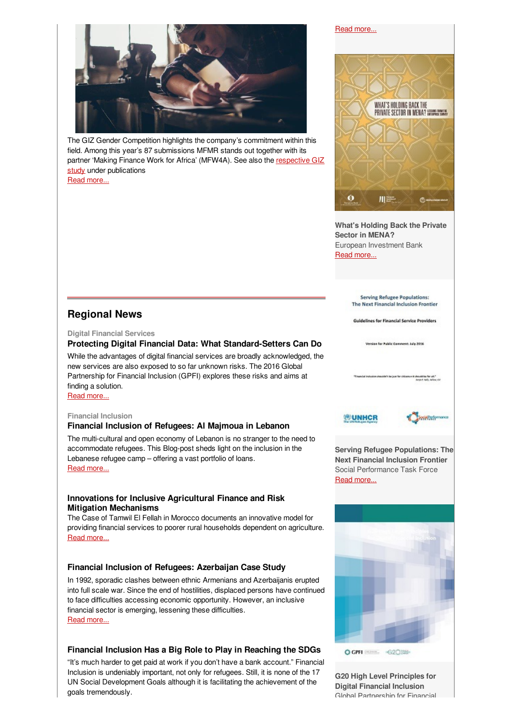

The GIZ Gender Competition highlights the company's commitment within this field. Among this year's 87 submissions MFMR stands out together with its partner 'Making Finance Work for Africa' (MFW4A). See also the respective GIZ study under [publications](http://www.microfinance-mena.org/Files/resource_1474895153.pdf) Read [more...](https://login.mailingwork.de/-link2/1593/2983/89/0/120623/sMLFGPjR/HGXHPfyBJ9/0)

#### Read [more...](http://www.afi-global.org/sites/default/files/publications/2016-08/Guideline Note-22 FID-Quality.pdf)



**What's Holding Back the Private Sector in MENA?** European Investment Bank Read [more...](http://www.eib.org/attachments/efs/econ_mena_enterprise_survey_en.pdf)

> **Serving Refugee Populations:** The Next Financial Inclusion Frontier

**Guidelines for Financial Service Providers** 

**Regional News**

#### **Digital Financial Services**

## **Protecting Digital Financial Data: What Standard-Setters Can Do**

While the advantages of digital financial services are broadly acknowledged, the new services are also exposed to so far unknown risks. The 2016 Global Partnership for Financial Inclusion (GPFI) explores these risks and aims at finding a solution.

Read [more...](https://login.mailingwork.de/-link2/1593/2983/183/0/120623/sMLFGPjR/HGXHPfyBJ9/0)

#### **Financial Inclusion**

#### **Financial Inclusion of Refugees: Al Majmoua in Lebanon**

The multi-cultural and open economy of Lebanon is no stranger to the need to accommodate refugees. This Blog-post sheds light on the inclusion in the Lebanese refugee camp – offering a vast portfolio of loans. Read [more...](https://login.mailingwork.de/-link2/1593/2983/261/0/120623/sMLFGPjR/HGXHPfyBJ9/0)

## **Innovations for Inclusive Agricultural Finance and Risk Mitigation Mechanisms**

The Case of Tamwil El Fellah in Morocco documents an innovative model for providing financial services to poorer rural households dependent on agriculture. Read [more...](https://login.mailingwork.de/-link2/1593/2983/233/0/120623/sMLFGPjR/HGXHPfyBJ9/0)

## **Financial Inclusion of Refugees: Azerbaijan Case Study**

In 1992, sporadic clashes between ethnic Armenians and Azerbaijanis erupted into full scale war. Since the end of hostilities, displaced persons have continued to face difficulties accessing economic opportunity. However, an inclusive financial sector is emerging, lessening these difficulties. Read [more...](https://login.mailingwork.de/-link2/1593/2983/235/0/120623/sMLFGPjR/HGXHPfyBJ9/0)

## **Financial Inclusion Has a Big Role to Play in Reaching the SDGs**

"It's much harder to get paid at work if you don't have a bank account." Financial Inclusion is undeniably important, not only for refugees. Still, it is none of the 17 UN Social Development Goals although it is facilitating the achievement of the goals tremendously.

Version for Public Commerci July 2016



**WUNHCR** 



**Serving Refugee Populations: The Next Financial Inclusion Frontier** Social Performance Task Force Read [more...](http://sptf.info/images/RefugeeWG-Serving-Refugee-Populations-Guidelines-FSPs-Lene-Hansen.pdf)



O GPFI 202032-

**G20 High Level Principles for Digital Financial Inclusion** Global Partnership for Financial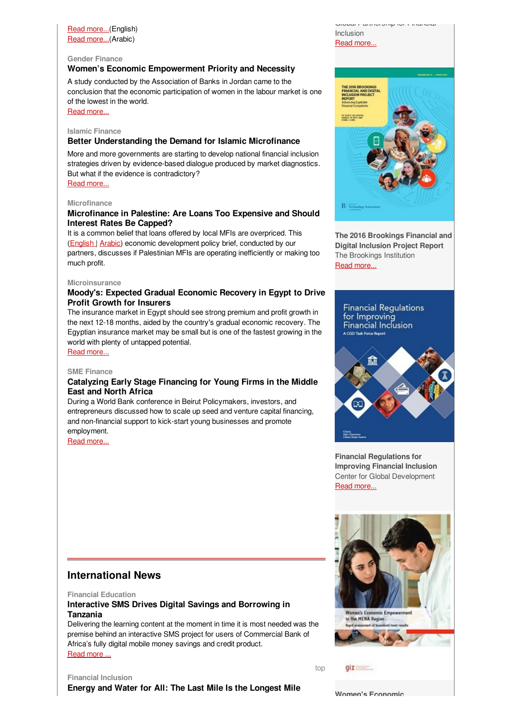## Read [more...](http://www.cgap.org/blog/financial-inclusion-has-big-role-play-reaching-sdgs)(English) Read [more...](https://www.microfinancegateway.org/ar/library/%D8%AA%D8%B9%D9%85%D9%8A%D9%85-%D8%A7%D9%84%D8%AE%D8%AF%D9%85%D8%A7%D8%AA-%D8%A7%D9%84%D9%85%D8%A7%D9%84%D9%8A%D8%A9-%D9%8A%D9%84%D8%B9%D8%A8-%D8%AF%D9%88%D8%B1%D8%A7-%D9%83%D8%A8%D9%8A%D8%B1%D8%A7-%D9%81%D9%8A-%D8%AA%D8%AD%D9%82%D9%8A%D9%82-%D8%A3%D9%87%D8%AF%D8%A7%D9%81-%D8%A7%D9%84%D8%AA%D9%86%D9%85%D9%8A%D8%A9-%D8%A7%D9%84%D9%85%D8%B3%D8%AA%D8%AF%D8%A7%D9%85%D8%A9)(Arabic)

## **Gender Finance**

## **Women's Economic Empowerment Priority and Necessity**

A study conducted by the Association of Banks in Jordan came to the conclusion that the economic participation of women in the labour market is one of the lowest in the world.

Read [more...](https://login.mailingwork.de/-link2/1593/2983/181/0/120623/sMLFGPjR/HGXHPfyBJ9/0)

#### **Islamic Finance**

## **Better Understanding the Demand for Islamic Microfinance**

More and more governments are starting to develop national financial inclusion strategies driven by evidence-based dialogue produced by market diagnostics. But what if the evidence is contradictory? Read [more...](https://login.mailingwork.de/-link2/1593/2983/169/0/120623/sMLFGPjR/HGXHPfyBJ9/0)

# **Microfinance**

## **Microfinance in Palestine: Are Loans Too Expensive and Should Interest Rates Be Capped?**

It is a common belief that loans offered by local MFIs are overpriced. This [\(English](http://www.microfinance-mena.org/Files/resource_1474891011.pdf) | [Arabic](http://www.microfinance-mena.org/Files/resource_1474893058.pdf)) economic development policy brief, conducted by our partners, discusses if Palestinian MFIs are operating inefficiently or making too much profit.

#### **Microinsurance**

## **Moody's: Expected Gradual Economic Recovery in Egypt to Drive Profit Growth for Insurers**

The insurance market in Egypt should see strong premium and profit growth in the next 12-18 months, aided by the country's gradual economic recovery. The Egyptian insurance market may be small but is one of the fastest growing in the world with plenty of untapped potential.

Read [more...](https://login.mailingwork.de/-link2/1593/2983/237/0/120623/sMLFGPjR/HGXHPfyBJ9/0)

#### **SME Finance**

## **Catalyzing Early Stage Financing for Young Firms in the Middle East and North Africa**

During a World Bank conference in Beirut Policymakers, investors, and entrepreneurs discussed how to scale up seed and venture capital financing, and non-financial support to kick-start young businesses and promote employment.

Read [more...](https://login.mailingwork.de/-link2/1593/2983/185/0/120623/sMLFGPjR/HGXHPfyBJ9/0)



Read [more...](https://www.gpfi.org/sites/default/files/G20 High Level Principles for Digital Financial Inclusion.pdf)



**The 2016 Brookings Financial and Digital Inclusion Project Report** The Brookings Institution Read [more...](https://www.brookings.edu/wp-content/uploads/2016/07/fdip_20160803_project_report.pdf)



**Financial Regulations for Improving Financial Inclusion** Center for Global Development Read [more...](http://www.cgdev.org/sites/default/files/CGD-financial-regulation-task-force-report-2016.pdf)

## **International News**

**Financial Education**

## **Interactive SMS Drives Digital Savings and Borrowing in Tanzania**

Delivering the learning content at the moment in time it is most needed was the premise behind an interactive SMS project for users of Commercial Bank of Africa's fully digital mobile money savings and credit product. [Read](https://login.mailingwork.de/-link2/1593/2983/187/0/120623/sMLFGPjR/HGXHPfyBJ9/0) more ...

**Financial Inclusion**

**Energy and Water for All: The Last Mile Is the Longest Mile**



 $qiz$ 

[top](#page-0-0)

**Women's Economic**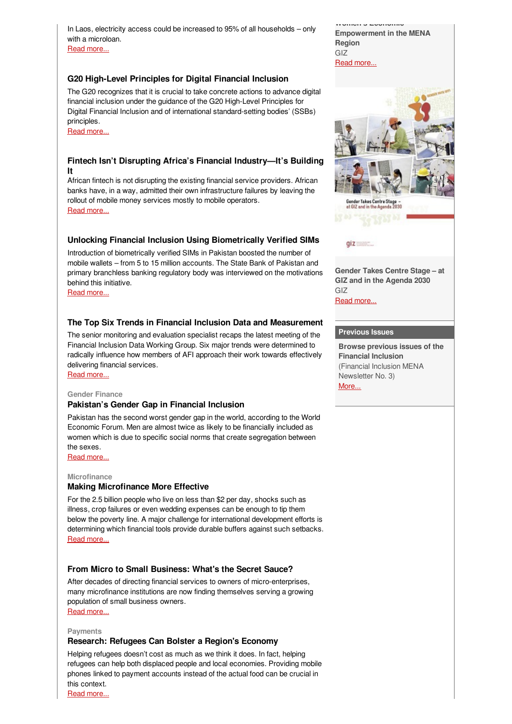In Laos, electricity access could be increased to 95% of all households – only with a microloan. Read [more...](https://login.mailingwork.de/-link2/1593/2983/189/0/120623/sMLFGPjR/HGXHPfyBJ9/0)

**G20 High-Level Principles for Digital Financial Inclusion**

The G20 recognizes that it is crucial to take concrete actions to advance digital financial inclusion under the guidance of the G20 High-Level Principles for Digital Financial Inclusion and of international standard-setting bodies' (SSBs) principles.

Read [more...](https://login.mailingwork.de/-link2/1593/2983/191/0/120623/sMLFGPjR/HGXHPfyBJ9/0)

## **Fintech Isn't Disrupting Africa's Financial Industry—It's Building It**

African fintech is not disrupting the existing financial service providers. African banks have, in a way, admitted their own infrastructure failures by leaving the rollout of mobile money services mostly to mobile operators. Read [more...](https://login.mailingwork.de/-link2/1593/2983/193/0/120623/sMLFGPjR/HGXHPfyBJ9/0)

## **Unlocking Financial Inclusion Using Biometrically Verified SIMs**

Introduction of biometrically verified SIMs in Pakistan boosted the number of mobile wallets – from 5 to 15 million accounts. The State Bank of Pakistan and primary branchless banking regulatory body was interviewed on the motivations behind this initiative.

Read [more...](https://login.mailingwork.de/-link2/1593/2983/197/0/120623/sMLFGPjR/HGXHPfyBJ9/0)

## **The Top Six Trends in Financial Inclusion Data and Measurement**

The senior monitoring and evaluation specialist recaps the latest meeting of the Financial Inclusion Data Working Group. Six major trends were determined to radically influence how members of AFI approach their work towards effectively delivering financial services.

Read [more...](https://login.mailingwork.de/-link2/1593/2983/199/0/120623/sMLFGPjR/HGXHPfyBJ9/0)

#### **Gender Finance**

#### **Pakistan's Gender Gap in Financial Inclusion**

Pakistan has the second worst gender gap in the world, according to the World Economic Forum. Men are almost twice as likely to be financially included as women which is due to specific social norms that create segregation between the sexes.

Read [more...](https://login.mailingwork.de/-link2/1593/2983/201/0/120623/sMLFGPjR/HGXHPfyBJ9/0)

#### **Microfinance**

## **Making Microfinance More Effective**

For the 2.5 billion people who live on less than \$2 per day, shocks such as illness, crop failures or even wedding expenses can be enough to tip them below the poverty line. A major challenge for international development efforts is determining which financial tools provide durable buffers against such setbacks. Read [more...](https://login.mailingwork.de/-link2/1593/2983/239/0/120623/sMLFGPjR/HGXHPfyBJ9/0)

## **From Micro to Small Business: What's the Secret Sauce?**

After decades of directing financial services to owners of micro-enterprises, many microfinance institutions are now finding themselves serving a growing population of small business owners. Read [more...](https://login.mailingwork.de/-link2/1593/2983/203/0/120623/sMLFGPjR/HGXHPfyBJ9/0)

**Payments**

## **Research: Refugees Can Bolster a Region's Economy**

Helping refugees doesn't cost as much as we think it does. In fact, helping refugees can help both displaced people and local economies. Providing mobile phones linked to payment accounts instead of the actual food can be crucial in this context.

Read [more...](https://login.mailingwork.de/-link2/1593/2983/241/0/120623/sMLFGPjR/HGXHPfyBJ9/0)

**Women's Economic Empowerment in the MENA Region** GIZ Read [more...](http://www.enterprise-development.org/wp-content/uploads/giz2016-womens-economic-empowerment-in-the-MENA-region.pdf)



 $qiz$ 

**Gender Takes Centre Stage – at GIZ and in the Agenda 2030** GIZ

Read [more...](http://www.microfinance-mena.org/Files/resource_1474895153.pdf)

## **Previous Issues**

**Browse previous issues of the Financial Inclusion** (Financial Inclusion MENA Newsletter No. 3) [More...](http://www.microfinance-mena.org/ckfinder/userfiles/files/Newsletter Issue 4.pdf)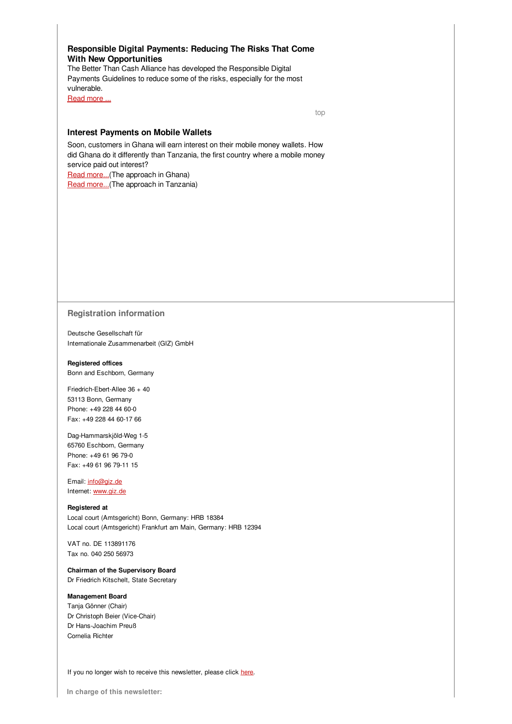## **Responsible Digital Payments: Reducing The Risks That Come With New Opportunities**

The Better Than Cash Alliance has developed the Responsible Digital Payments Guidelines to reduce some of the risks, especially for the most vulnerable.

[Read](https://login.mailingwork.de/-link2/1593/2983/209/0/120623/sMLFGPjR/HGXHPfyBJ9/0) more ...

[top](#page-0-0)

#### **Interest Payments on Mobile Wallets**

Soon, customers in Ghana will earn interest on their mobile money wallets. How did Ghana do it differently than Tanzania, the first country where a mobile money service paid out interest? Read [more...](http://www.cgap.org/blog/how-ghana-set-its-rules-interest-payment-e-money-accounts)(The approach in Ghana)

Read [more...](http://www.cgap.org/blog/interest-payments-mobile-wallets-bank-tanzania%E2%80%99s-approach)(The approach in Tanzania)

#### **Registration information**

**D**eutsche Gesellschaft für Internationale Zusammenarbeit (GIZ) GmbH

## **Registered offices**

Bonn and Eschborn, Germany

Friedrich-Ebert-Allee 36 + 40 53113 Bonn, Germany Phone: +49 228 44 60-0 Fax: +49 228 44 60-17 66

Dag-Hammarskjöld-Weg 1-5 65760 Eschborn, Germany Phone: +49 61 96 79-0 Fax: +49 61 96 79-11 15

Email: [info@giz.de](mailto:info@giz.de) Internet: [www.giz.de](http://www.giz.de)

## **Registered at**

Local court (Amtsgericht) Bonn, Germany: HRB 18384 Local court (Amtsgericht) Frankfurt am Main, Germany: HRB 12394

VAT no. DE 113891176 Tax no. 040 250 56973

#### **Chairman of the Supervisory Board**

Dr Friedrich Kitschelt, State Secretary

### **Management Board**

Tanja Gönner (Chair) Dr Christoph Beier (Vice-Chair) Dr Hans-Joachim Preuß Cornelia Richter

If you no longer wish to receive this newsletter, please click [here](https://login.mailingwork.de/optout/Optout/test/1593/2983/1/0).

**In charge of this newsletter:**